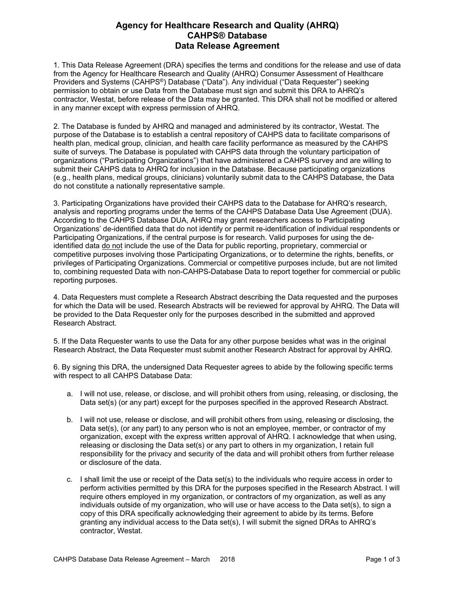## **Agency for Healthcare Research and Quality (AHRQ) CAHPS® Database Data Release Agreement**

1. This Data Release Agreement (DRA) specifies the terms and conditions for the release and use of data from the Agency for Healthcare Research and Quality (AHRQ) Consumer Assessment of Healthcare Providers and Systems (CAHPS®) Database ("Data"). Any individual ("Data Requester") seeking permission to obtain or use Data from the Database must sign and submit this DRA to AHRQ's contractor, Westat, before release of the Data may be granted. This DRA shall not be modified or altered in any manner except with express permission of AHRQ.

2. The Database is funded by AHRQ and managed and administered by its contractor, Westat. The purpose of the Database is to establish a central repository of CAHPS data to facilitate comparisons of health plan, medical group, clinician, and health care facility performance as measured by the CAHPS suite of surveys. The Database is populated with CAHPS data through the voluntary participation of organizations ("Participating Organizations") that have administered a CAHPS survey and are willing to submit their CAHPS data to AHRQ for inclusion in the Database. Because participating organizations (e.g., health plans, medical groups, clinicians) voluntarily submit data to the CAHPS Database, the Data do not constitute a nationally representative sample.

3. Participating Organizations have provided their CAHPS data to the Database for AHRQ's research, analysis and reporting programs under the terms of the CAHPS Database Data Use Agreement (DUA). According to the CAHPS Database DUA, AHRQ may grant researchers access to Participating Organizations' de-identified data that do not identify or permit re-identification of individual respondents or Participating Organizations, if the central purpose is for research. Valid purposes for using the deidentified data do not include the use of the Data for public reporting, proprietary, commercial or competitive purposes involving those Participating Organizations, or to determine the rights, benefits, or privileges of Participating Organizations. Commercial or competitive purposes include, but are not limited to, combining requested Data with non-CAHPS-Database Data to report together for commercial or public reporting purposes.

4. Data Requesters must complete a Research Abstract describing the Data requested and the purposes for which the Data will be used. Research Abstracts will be reviewed for approval by AHRQ. The Data will be provided to the Data Requester only for the purposes described in the submitted and approved Research Abstract.

5. If the Data Requester wants to use the Data for any other purpose besides what was in the original Research Abstract, the Data Requester must submit another Research Abstract for approval by AHRQ.

6. By signing this DRA, the undersigned Data Requester agrees to abide by the following specific terms with respect to all CAHPS Database Data:

- a. I will not use, release, or disclose, and will prohibit others from using, releasing, or disclosing, the Data set(s) (or any part) except for the purposes specified in the approved Research Abstract.
- b. I will not use, release or disclose, and will prohibit others from using, releasing or disclosing, the Data set(s), (or any part) to any person who is not an employee, member, or contractor of my organization, except with the express written approval of AHRQ. I acknowledge that when using, releasing or disclosing the Data set(s) or any part to others in my organization, I retain full responsibility for the privacy and security of the data and will prohibit others from further release or disclosure of the data.
- c. I shall limit the use or receipt of the Data set(s) to the individuals who require access in order to perform activities permitted by this DRA for the purposes specified in the Research Abstract. I will require others employed in my organization, or contractors of my organization, as well as any individuals outside of my organization, who will use or have access to the Data set(s), to sign a copy of this DRA specifically acknowledging their agreement to abide by its terms. Before granting any individual access to the Data set(s), I will submit the signed DRAs to AHRQ's contractor, Westat.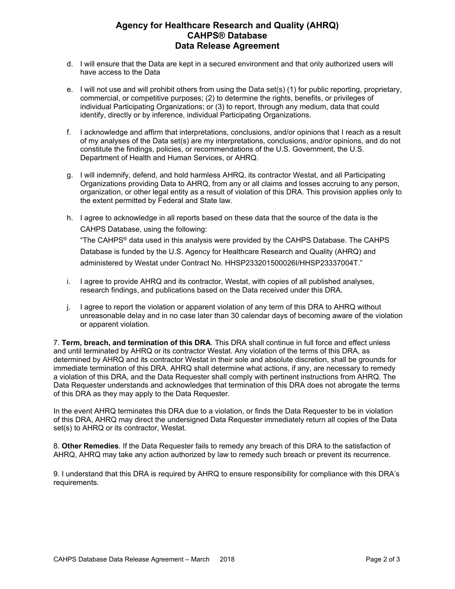## **Agency for Healthcare Research and Quality (AHRQ) CAHPS® Database Data Release Agreement**

- d. I will ensure that the Data are kept in a secured environment and that only authorized users will have access to the Data
- e. I will not use and will prohibit others from using the Data set(s) (1) for public reporting, proprietary, commercial, or competitive purposes; (2) to determine the rights, benefits, or privileges of individual Participating Organizations; or (3) to report, through any medium, data that could identify, directly or by inference, individual Participating Organizations.
- f. I acknowledge and affirm that interpretations, conclusions, and/or opinions that I reach as a result of my analyses of the Data set(s) are my interpretations, conclusions, and/or opinions, and do not constitute the findings, policies, or recommendations of the U.S. Government, the U.S. Department of Health and Human Services, or AHRQ.
- g. I will indemnify, defend, and hold harmless AHRQ, its contractor Westat, and all Participating Organizations providing Data to AHRQ, from any or all claims and losses accruing to any person, organization, or other legal entity as a result of violation of this DRA. This provision applies only to the extent permitted by Federal and State law.
- h. I agree to acknowledge in all reports based on these data that the source of the data is the CAHPS Database, using the following:

"The CAHPS® data used in this analysis were provided by the CAHPS Database. The CAHPS Database is funded by the U.S. Agency for Healthcare Research and Quality (AHRQ) and administered by Westat under Contract No. HHSP233201500026I/HHSP23337004T."

- i. I agree to provide AHRQ and its contractor, Westat, with copies of all published analyses, research findings, and publications based on the Data received under this DRA.
- j. I agree to report the violation or apparent violation of any term of this DRA to AHRQ without unreasonable delay and in no case later than 30 calendar days of becoming aware of the violation or apparent violation.

7. **Term, breach, and termination of this DRA**. This DRA shall continue in full force and effect unless and until terminated by AHRQ or its contractor Westat. Any violation of the terms of this DRA, as determined by AHRQ and its contractor Westat in their sole and absolute discretion, shall be grounds for immediate termination of this DRA. AHRQ shall determine what actions, if any, are necessary to remedy a violation of this DRA, and the Data Requester shall comply with pertinent instructions from AHRQ. The Data Requester understands and acknowledges that termination of this DRA does not abrogate the terms of this DRA as they may apply to the Data Requester.

In the event AHRQ terminates this DRA due to a violation, or finds the Data Requester to be in violation of this DRA, AHRQ may direct the undersigned Data Requester immediately return all copies of the Data set(s) to AHRQ or its contractor, Westat.

8. **Other Remedies**. If the Data Requester fails to remedy any breach of this DRA to the satisfaction of AHRQ, AHRQ may take any action authorized by law to remedy such breach or prevent its recurrence.

9. I understand that this DRA is required by AHRQ to ensure responsibility for compliance with this DRA's requirements.